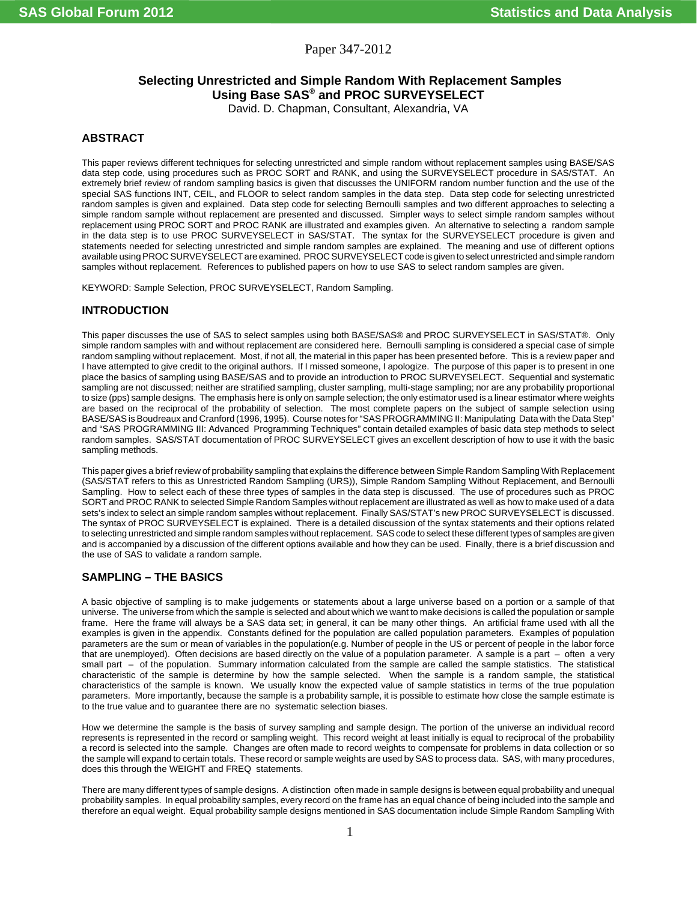Paper 347-2012

# **Selecting Unrestricted and Simple Random With Replacement Samples Using Base SAS® and PROC SURVEYSELECT**

David. D. Chapman, Consultant, Alexandria, VA

## **ABSTRACT**

This paper reviews different techniques for selecting unrestricted and simple random without replacement samples using BASE/SAS data step code, using procedures such as PROC SORT and RANK, and using the SURVEYSELECT procedure in SAS/STAT. An extremely brief review of random sampling basics is given that discusses the UNIFORM random number function and the use of the special SAS functions INT, CEIL, and FLOOR to select random samples in the data step. Data step code for selecting unrestricted random samples is given and explained. Data step code for selecting Bernoulli samples and two different approaches to selecting a simple random sample without replacement are presented and discussed. Simpler ways to select simple random samples without replacement using PROC SORT and PROC RANK are illustrated and examples given. An alternative to selecting a random sample in the data step is to use PROC SURVEYSELECT in SAS/STAT. The syntax for the SURVEYSELECT procedure is given and statements needed for selecting unrestricted and simple random samples are explained. The meaning and use of different options available using PROC SURVEYSELECT are examined. PROC SURVEYSELECT code is given to select unrestricted and simple random samples without replacement. References to published papers on how to use SAS to select random samples are given.

KEYWORD: Sample Selection, PROC SURVEYSELECT, Random Sampling.

## **INTRODUCTION**

This paper discusses the use of SAS to select samples using both BASE/SAS® and PROC SURVEYSELECT in SAS/STAT®. Only simple random samples with and without replacement are considered here. Bernoulli sampling is considered a special case of simple random sampling without replacement. Most, if not all, the material in this paper has been presented before. This is a review paper and I have attempted to give credit to the original authors. If I missed someone, I apologize. The purpose of this paper is to present in one place the basics of sampling using BASE/SAS and to provide an introduction to PROC SURVEYSELECT. Sequential and systematic sampling are not discussed; neither are stratified sampling, cluster sampling, multi-stage sampling; nor are any probability proportional to size (pps) sample designs. The emphasis here is only on sample selection; the only estimator used is a linear estimator where weights are based on the reciprocal of the probability of selection. The most complete papers on the subject of sample selection using BASE/SAS is Boudreaux and Cranford (1996, 1995). Course notes for "SAS PROGRAMMING II: Manipulating Data with the Data Step" and "SAS PROGRAMMING III: Advanced Programming Techniques" contain detailed examples of basic data step methods to select random samples. SAS/STAT documentation of PROC SURVEYSELECT gives an excellent description of how to use it with the basic sampling methods.

This paper gives a brief review of probability sampling that explains the difference between Simple Random Sampling With Replacement (SAS/STAT refers to this as Unrestricted Random Sampling (URS)), Simple Random Sampling Without Replacement, and Bernoulli Sampling. How to select each of these three types of samples in the data step is discussed. The use of procedures such as PROC SORT and PROC RANK to selected Simple Random Samples without replacement are illustrated as well as how to make used of a data sets's index to select an simple random samples without replacement. Finally SAS/STAT's new PROC SURVEYSELECT is discussed. The syntax of PROC SURVEYSELECT is explained. There is a detailed discussion of the syntax statements and their options related to selecting unrestricted and simple random samples without replacement. SAS code to select these different types of samples are given and is accompanied by a discussion of the different options available and how they can be used. Finally, there is a brief discussion and the use of SAS to validate a random sample.

## **SAMPLING – THE BASICS**

A basic objective of sampling is to make judgements or statements about a large universe based on a portion or a sample of that universe. The universe from which the sample is selected and about which we want to make decisions is called the population or sample frame. Here the frame will always be a SAS data set; in general, it can be many other things. An artificial frame used with all the examples is given in the appendix. Constants defined for the population are called population parameters. Examples of population parameters are the sum or mean of variables in the population(e.g. Number of people in the US or percent of people in the labor force that are unemployed). Often decisions are based directly on the value of a population parameter. A sample is a part – often a very small part – of the population. Summary information calculated from the sample are called the sample statistics. The statistical characteristic of the sample is determine by how the sample selected. When the sample is a random sample, the statistical characteristics of the sample is known. We usually know the expected value of sample statistics in terms of the true population parameters. More importantly, because the sample is a probability sample, it is possible to estimate how close the sample estimate is to the true value and to guarantee there are no systematic selection biases.

How we determine the sample is the basis of survey sampling and sample design. The portion of the universe an individual record represents is represented in the record or sampling weight. This record weight at least initially is equal to reciprocal of the probability a record is selected into the sample. Changes are often made to record weights to compensate for problems in data collection or so the sample will expand to certain totals. These record or sample weights are used by SAS to process data. SAS, with many procedures, does this through the WEIGHT and FREQ statements.

There are many different types of sample designs. A distinction often made in sample designs is between equal probability and unequal probability samples. In equal probability samples, every record on the frame has an equal chance of being included into the sample and therefore an equal weight. Equal probability sample designs mentioned in SAS documentation include Simple Random Sampling With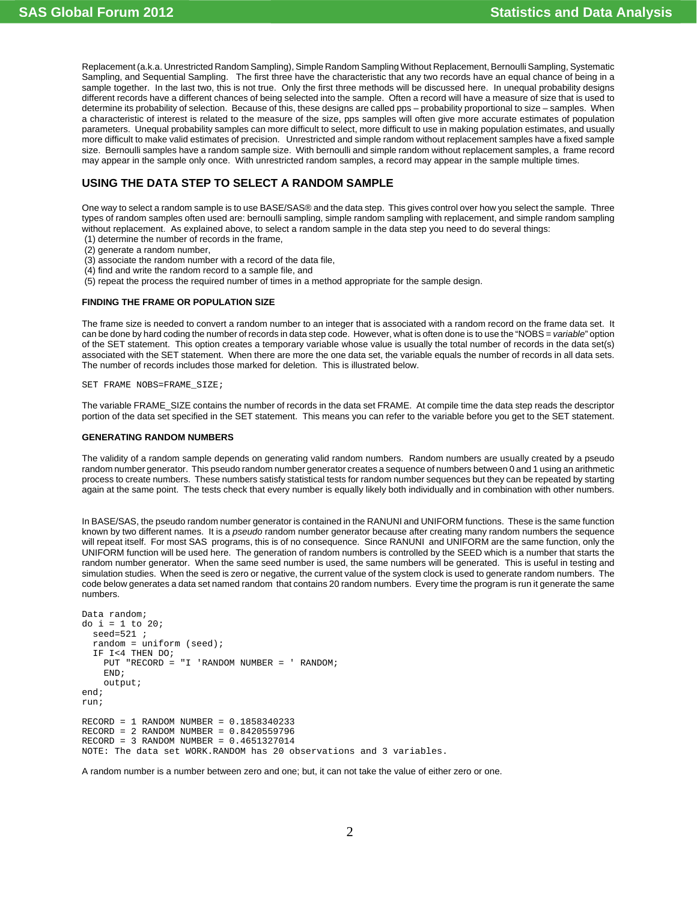Replacement (a.k.a. Unrestricted Random Sampling), Simple Random Sampling Without Replacement, Bernoulli Sampling, Systematic Sampling, and Sequential Sampling. The first three have the characteristic that any two records have an equal chance of being in a sample together. In the last two, this is not true. Only the first three methods will be discussed here. In unequal probability designs different records have a different chances of being selected into the sample. Often a record will have a measure of size that is used to determine its probability of selection. Because of this, these designs are called pps – probability proportional to size – samples. When a characteristic of interest is related to the measure of the size, pps samples will often give more accurate estimates of population parameters. Unequal probability samples can more difficult to select, more difficult to use in making population estimates, and usually more difficult to make valid estimates of precision. Unrestricted and simple random without replacement samples have a fixed sample size. Bernoulli samples have a random sample size. With bernoulli and simple random without replacement samples, a frame record may appear in the sample only once. With unrestricted random samples, a record may appear in the sample multiple times.

## **USING THE DATA STEP TO SELECT A RANDOM SAMPLE**

One way to select a random sample is to use BASE/SAS® and the data step. This gives control over how you select the sample. Three types of random samples often used are: bernoulli sampling, simple random sampling with replacement, and simple random sampling without replacement. As explained above, to select a random sample in the data step you need to do several things:

- (1) determine the number of records in the frame,
- (2) generate a random number,
- (3) associate the random number with a record of the data file,
- (4) find and write the random record to a sample file, and
- (5) repeat the process the required number of times in a method appropriate for the sample design.

#### **FINDING THE FRAME OR POPULATION SIZE**

The frame size is needed to convert a random number to an integer that is associated with a random record on the frame data set. It can be done by hard coding the number of records in data step code. However, what is often done is to use the "NOBS = *variable*" option of the SET statement. This option creates a temporary variable whose value is usually the total number of records in the data set(s) associated with the SET statement. When there are more the one data set, the variable equals the number of records in all data sets. The number of records includes those marked for deletion. This is illustrated below.

SET FRAME NOBS=FRAME\_SIZE;

The variable FRAME\_SIZE contains the number of records in the data set FRAME. At compile time the data step reads the descriptor portion of the data set specified in the SET statement. This means you can refer to the variable before you get to the SET statement.

### **GENERATING RANDOM NUMBERS**

The validity of a random sample depends on generating valid random numbers. Random numbers are usually created by a pseudo random number generator. This pseudo random number generator creates a sequence of numbers between 0 and 1 using an arithmetic process to create numbers. These numbers satisfy statistical tests for random number sequences but they can be repeated by starting again at the same point. The tests check that every number is equally likely both individually and in combination with other numbers.

In BASE/SAS, the pseudo random number generator is contained in the RANUNI and UNIFORM functions. These is the same function known by two different names. It is a *pseudo* random number generator because after creating many random numbers the sequence will repeat itself. For most SAS programs, this is of no consequence. Since RANUNI and UNIFORM are the same function, only the UNIFORM function will be used here. The generation of random numbers is controlled by the SEED which is a number that starts the random number generator. When the same seed number is used, the same numbers will be generated. This is useful in testing and simulation studies. When the seed is zero or negative, the current value of the system clock is used to generate random numbers. The code below generates a data set named random that contains 20 random numbers. Every time the program is run it generate the same numbers.

```
Data random;
do i = 1 to 20;
  seed=521 ;
   random = uniform (seed);
   IF I<4 THEN DO;
    PUT "RECORD = "I 'RANDOM NUMBER = ' RANDOM;
     END;
     output;
end;
run;
RECORD = 1 RANDOM NUMBER = 0.1858340233
RECORD = 2 RANDOM NUMBER = 0.8420559796
RECORD = 3 RANDOM NUMBER = 0.4651327014NOTE: The data set WORK.RANDOM has 20 observations and 3 variables.
```
A random number is a number between zero and one; but, it can not take the value of either zero or one.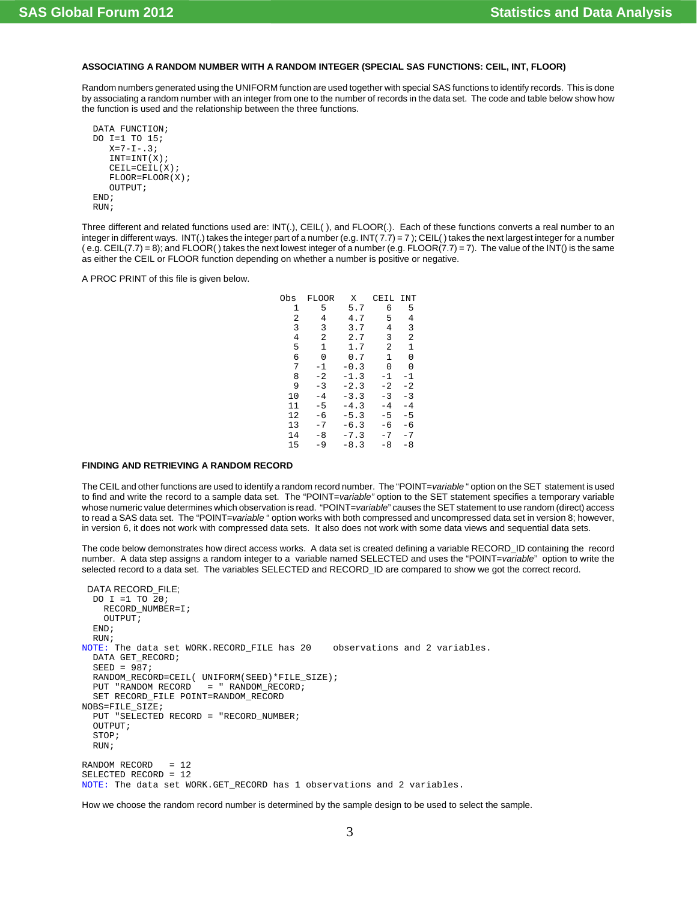## **ASSOCIATING A RANDOM NUMBER WITH A RANDOM INTEGER (SPECIAL SAS FUNCTIONS: CEIL, INT, FLOOR)**

Random numbers generated using the UNIFORM function are used together with special SAS functions to identify records. This is done by associating a random number with an integer from one to the number of records in the data set. The code and table below show how the function is used and the relationship between the three functions.

```
 DATA FUNCTION;
 DO I=1 TO 15;
   X=7-I-.3;INT=INT(X); CEIL=CEIL(X);
    FLOOR=FLOOR(X);
    OUTPUT;
 END;
 RUN;
```
Three different and related functions used are: INT(.), CEIL( ), and FLOOR(.). Each of these functions converts a real number to an integer in different ways. INT(.) takes the integer part of a number (e.g. INT(7.7) = 7); CEIL() takes the next largest integer for a number  $(e.g., CEIL(7.7) = 8)$ ; and FLOOR() takes the next lowest integer of a number  $(e.g., FLOOR(7.7) = 7)$ . The value of the INT() is the same as either the CEIL or FLOOR function depending on whether a number is positive or negative.

A PROC PRINT of this file is given below.

| Obs | FLOOR          | X      | CEIL           | INT  |
|-----|----------------|--------|----------------|------|
| 1   | 5              | 5.7    | 6              | 5    |
| 2   | 4              | 4.7    | 5              | 4    |
| 3   | 3              | 3.7    | 4              | 3    |
| 4   | $\overline{2}$ | 2.7    | 3              | 2    |
| 5   | 1              | 1.7    | $\mathfrak{D}$ | 1    |
| 6   | 0              | 0.7    | 1              | 0    |
| 7   | -1             | $-0.3$ | O              | U    |
| 8   | $-2$           | $-1.3$ | -1             | -1   |
| 9   | -3             | $-2.3$ | $-2$           | $-2$ |
| 10  | $-4$           | $-3.3$ | $-3$           | $-3$ |
| 11  | $-5$           | $-4.3$ | -4             | -4   |
| 12  | -6             | $-5.3$ | -5             | -5   |
| 13  | -7             | $-6.3$ | -6             | -6   |
| 14  | -8             | $-7.3$ | -7             | - 7  |
| 15  | $-9$           | $-8.3$ | $-8$           | -8   |
|     |                |        |                |      |

### **FINDING AND RETRIEVING A RANDOM RECORD**

The CEIL and other functions are used to identify a random record number. The "POINT=*variable* " option on the SET statement is used to find and write the record to a sample data set. The "POINT=*variable"* option to the SET statement specifies a temporary variable whose numeric value determines which observation is read. "POINT=*variable*" causes the SET statement to use random (direct) access to read a SAS data set. The "POINT=*variable* " option works with both compressed and uncompressed data set in version 8; however, in version 6, it does not work with compressed data sets. It also does not work with some data views and sequential data sets.

The code below demonstrates how direct access works. A data set is created defining a variable RECORD\_ID containing the record number. A data step assigns a random integer to a variable named SELECTED and uses the "POINT=*variable*" option to write the selected record to a data set. The variables SELECTED and RECORD\_ID are compared to show we got the correct record.

```
 DATA RECORD_FILE;
  DO I =1 TO 20;
    RECORD_NUMBER=I;
     OUTPUT;
  END;
 RIIN:
NOTE: The data set WORK.RECORD_FILE has 20 observations and 2 variables.
  DATA GET_RECORD;
  SFRD = 987;
  RANDOM_RECORD=CEIL( UNIFORM(SEED)*FILE_SIZE);
   PUT "RANDOM RECORD = " RANDOM_RECORD;
  SET RECORD_FILE POINT=RANDOM_RECORD 
NOBS=FILE_SIZE;
  PUT "SELECTED RECORD = "RECORD_NUMBER;
   OUTPUT;
  STOP;
  RUN;
RANDOM RECORD = 12
SELECTED RECORD = 12
NOTE: The data set WORK.GET_RECORD has 1 observations and 2 variables.
```
How we choose the random record number is determined by the sample design to be used to select the sample.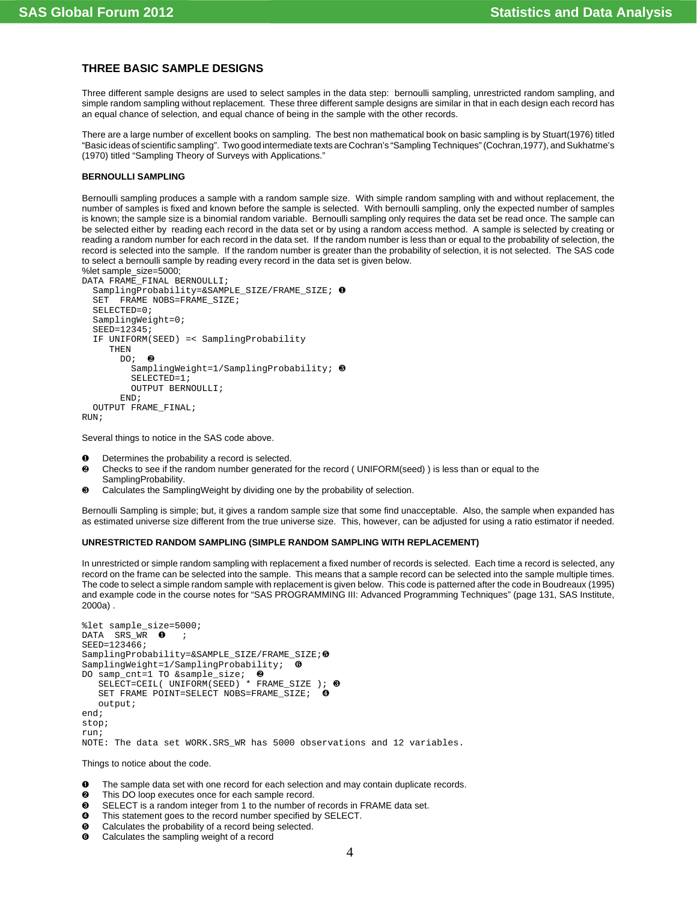## **THREE BASIC SAMPLE DESIGNS**

Three different sample designs are used to select samples in the data step: bernoulli sampling, unrestricted random sampling, and simple random sampling without replacement. These three different sample designs are similar in that in each design each record has an equal chance of selection, and equal chance of being in the sample with the other records.

There are a large number of excellent books on sampling. The best non mathematical book on basic sampling is by Stuart(1976) titled "Basic ideas of scientific sampling". Two good intermediate texts are Cochran's "Sampling Techniques" (Cochran,1977), and Sukhatme's (1970) titled "Sampling Theory of Surveys with Applications."

### **BERNOULLI SAMPLING**

Bernoulli sampling produces a sample with a random sample size. With simple random sampling with and without replacement, the number of samples is fixed and known before the sample is selected. With bernoulli sampling, only the expected number of samples is known; the sample size is a binomial random variable. Bernoulli sampling only requires the data set be read once. The sample can be selected either by reading each record in the data set or by using a random access method. A sample is selected by creating or reading a random number for each record in the data set. If the random number is less than or equal to the probability of selection, the record is selected into the sample. If the random number is greater than the probability of selection, it is not selected. The SAS code to select a bernoulli sample by reading every record in the data set is given below. %let sample\_size=5000;

```
DATA FRAME_FINAL BERNOULLI;
   SamplingProbability=&SAMPLE_SIZE/FRAME_SIZE; Ø
   SET FRAME NOBS=FRAME_SIZE;
   SELECTED=0;
   SamplingWeight=0;
   SEED=12345;
   IF UNIFORM(SEED) =< SamplingProbability
      THEN
       DO: ②SamplingWeight=1/SamplingProbability; \Theta SELECTED=1;
          OUTPUT BERNOULLI;
        END;
   OUTPUT FRAME_FINAL;
RUN;
```
Several things to notice in the SAS code above.

- Ø Determines the probability a record is selected.
- Ù Checks to see if the random number generated for the record ( UNIFORM(seed) ) is less than or equal to the SamplingProbability.
- <sup>6</sup> Calculates the SamplingWeight by dividing one by the probability of selection.

Bernoulli Sampling is simple; but, it gives a random sample size that some find unacceptable. Also, the sample when expanded has as estimated universe size different from the true universe size. This, however, can be adjusted for using a ratio estimator if needed.

## **UNRESTRICTED RANDOM SAMPLING (SIMPLE RANDOM SAMPLING WITH REPLACEMENT)**

In unrestricted or simple random sampling with replacement a fixed number of records is selected. Each time a record is selected, any record on the frame can be selected into the sample. This means that a sample record can be selected into the sample multiple times. The code to select a simple random sample with replacement is given below. This code is patterned after the code in Boudreaux (1995) and example code in the course notes for "SAS PROGRAMMING III: Advanced Programming Techniques" (page 131, SAS Institute, 2000a) .

```
%let sample_size=5000; 
DATA SRS WR \bulletSEED=123466;
SamplingProbability=&SAMPLE_SIZE/FRAME_SIZE;\Theta<br>SamplingWeight=1/SamplingProbability; \ThetaSamplingWeight=1/SamplingProbability;DO samp_cnt=1 TO &sample_size; <sup>0</sup>
SELECT=CEIL( UNIFORM(SEED) * FRAME_SIZE ); 0
   SET FRAME POINT=SELECT NOBS=FRAME_SIZE; <sup>0</sup>
    output;
end;
stop;
run;
NOTE: The data set WORK.SRS_WR has 5000 observations and 12 variables.
```
Things to notice about the code.

- $\bullet$  The sample data set with one record for each selection and may contain duplicate records.
- **<sup>2</sup>** This DO loop executes once for each sample record.
- **8** SELECT is a random integer from 1 to the number of records in FRAME data set.
- **O** This statement goes to the record number specified by SELECT.<br> **O** Calculates the probability of a record being selected.
- $\Theta$  Calculates the probability of a record being selected.<br> **Q** Calculates the sampling weight of a record
- Calculates the sampling weight of a record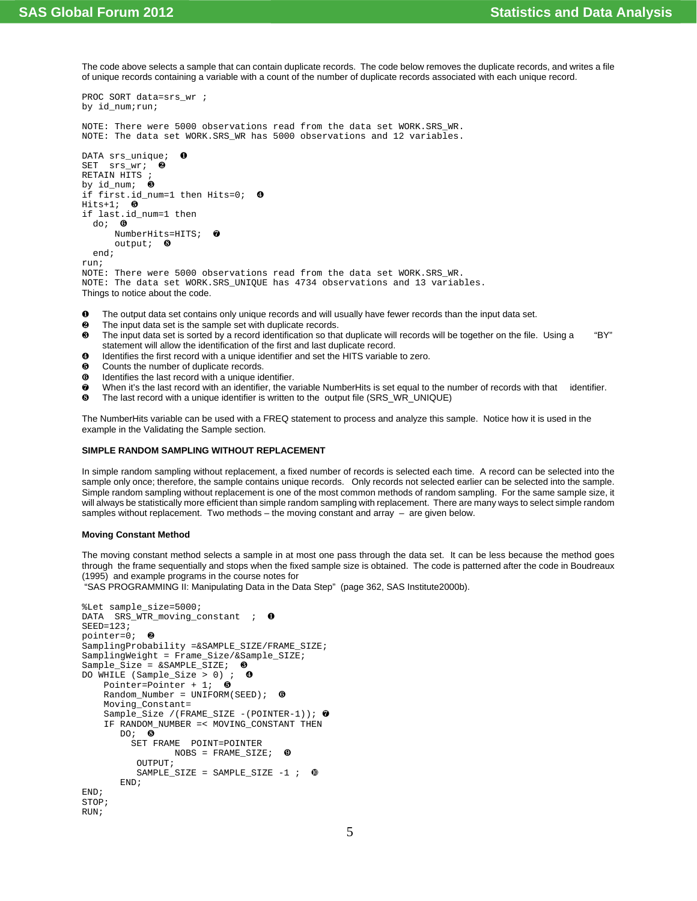The code above selects a sample that can contain duplicate records. The code below removes the duplicate records, and writes a file of unique records containing a variable with a count of the number of duplicate records associated with each unique record.

```
PROC SORT data=srs_wr ;
by id_num;run;
NOTE: There were 5000 observations read from the data set WORK.SRS_WR.
NOTE: The data set WORK.SRS_WR has 5000 observations and 12 variables.
DATA srs_unique;
SET srs wr; <sup>0</sup>
RETAIN HITS ;
by id\_num; \Thetaif first.id_num=1 then Hits=0; 0
Hits+1; ⑤if last.id_num=1 then
  do: \bulletNumberHits=HITS; <sup>0</sup>
      output: \Theta end;
run;
NOTE: There were 5000 observations read from the data set WORK.SRS_WR.
NOTE: The data set WORK.SRS_UNIQUE has 4734 observations and 13 variables.
Things to notice about the code.
```
- Ø The output data set contains only unique records and will usually have fewer records than the input data set.
- Ù The input data set is the sample set with duplicate records.
- Ú The input data set is sorted by a record identification so that duplicate will records will be together on the file. Using a "BY" statement will allow the identification of the first and last duplicate record.
- Û Identifies the first record with a unique identifier and set the HITS variable to zero.
- $\Theta$  Counts the number of duplicate records.
- $\bullet$  Identifies the last record with a unique identifier.
- Þ When it's the last record with an identifier, the variable NumberHits is set equal to the number of records with that identifier.
- **6** The last record with a unique identifier is written to the output file (SRS\_WR\_UNIQUE)

The NumberHits variable can be used with a FREQ statement to process and analyze this sample. Notice how it is used in the example in the Validating the Sample section.

### **SIMPLE RANDOM SAMPLING WITHOUT REPLACEMENT**

In simple random sampling without replacement, a fixed number of records is selected each time. A record can be selected into the sample only once; therefore, the sample contains unique records. Only records not selected earlier can be selected into the sample. Simple random sampling without replacement is one of the most common methods of random sampling. For the same sample size, it will always be statistically more efficient than simple random sampling with replacement. There are many ways to select simple random samples without replacement. Two methods – the moving constant and array – are given below.

### **Moving Constant Method**

The moving constant method selects a sample in at most one pass through the data set. It can be less because the method goes through the frame sequentially and stops when the fixed sample size is obtained. The code is patterned after the code in Boudreaux (1995) and example programs in the course notes for

"SAS PROGRAMMING II: Manipulating Data in the Data Step" (page 362, SAS Institute2000b).

```
%Let sample_size=5000; 
DATA SRS_WTR_moving_constant ; 0
SERD=123;
pointer=0; 0SamplingProbability =&SAMPLE_SIZE/FRAME_SIZE;
SamplingWeight = Frame_Size/&Sample_SIZE;
Sample_Size = &SAMPLE_SIZE; \ThetaDO WHILE (Sample_Size > 0) ; \bulletPointer=Pointer + 1; \theta Random_Number = UNIFORM(SEED); Ý
     Moving_Constant=
     Sample_Size /(FRAME_SIZE -(POINTER-1)); Þ
     IF RANDOM_NUMBER =< MOVING_CONSTANT THEN
       DO: ⑤ SET FRAME POINT=POINTER
                 NOBS = FRAME\_SIZE; \bullet OUTPUT;
          SAMPLE_SIZE = SAMPLE_SIZE -1 ; \bullet END;
END;
STOP;
RIIN;
```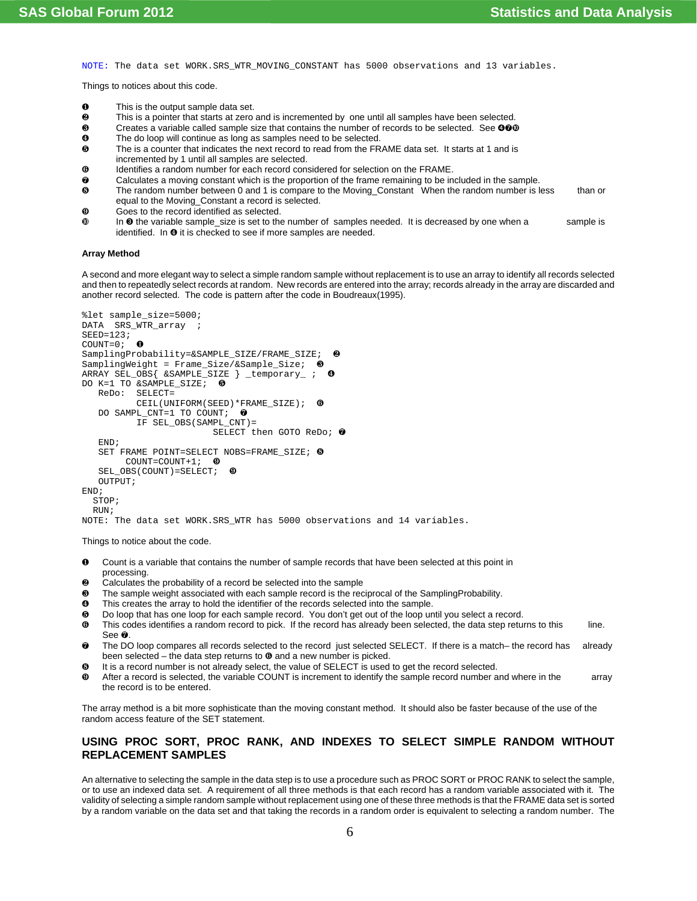NOTE: The data set WORK.SRS\_WTR\_MOVING\_CONSTANT has 5000 observations and 13 variables.

Things to notices about this code.

- **O** This is the output sample data set.<br> **A** This is a pointer that starts at zero
- This is a pointer that starts at zero and is incremented by one until all samples have been selected.
- $\Theta$  Creates a variable called sample size that contains the number of records to be selected. See  $\Theta \Phi \Phi$
- **<sup>4</sup>** The do loop will continue as long as samples need to be selected.
- Ü The is a counter that indicates the next record to read from the FRAME data set. It starts at 1 and is incremented by 1 until all samples are selected.
- $\theta$  Identifies a random number for each record considered for selection on the FRAME.
- $\odot$  Calculates a moving constant which is the proportion of the frame remaining to be included in the sample.
- **6** The random number between 0 and 1 is compare to the Moving\_Constant When the random number is less than or equal to the Moving\_Constant a record is selected.
- $\bullet$  Goes to the record identified as selected.
- $\Phi$  In  $\Theta$  the variable sample\_size is set to the number of samples needed. It is decreased by one when a sample is identified. In  $\bullet$  it is checked to see if more samples are needed.

#### **Array Method**

A second and more elegant way to select a simple random sample without replacement is to use an array to identify all records selected and then to repeatedly select records at random. New records are entered into the array; records already in the array are discarded and another record selected. The code is pattern after the code in Boudreaux(1995).

```
%let sample_size=5000; 
DATA SRS_WTR_array ;
SEED=123;COUNT=0; 0SamplingProbability=&SAMPLE_SIZE/FRAME_SIZE;
SamplingWeight = Frame\_Size/&Sample\_Size; <br>
\theta<br>
ARRAY SEL OBS{ &SAMPLE\_SIZE } temporary ; <br>
\thetaARRAY SEL_OBS{ &SAMPLE_SIZE } _temporary_ ;
DO K=1 TO &SAMPLE_SIZE; \Theta ReDo: SELECT=
           CEIL(UNIFORM(SEED) * FRAME SIZE); \thetaDO SAMPL_CNT=1 TO COUNT; \bullet IF SEL_OBS(SAMPL_CNT)=
                            SELECT then GOTO ReDo; 0
    END; 
   SET FRAME POINT=SELECT NOBS=FRAME_SIZE; ®
         COUNT=COUNT+1; \bulletSEL_OBS(COUNT)=SELECT; \bullet OUTPUT;
END;
   STOP;
   RUN;
NOTE: The data set WORK.SRS_WTR has 5000 observations and 14 variables.
```
Things to notice about the code.

- Ø Count is a variable that contains the number of sample records that have been selected at this point in processing.
- Ù Calculates the probability of a record be selected into the sample
- Ú The sample weight associated with each sample record is the reciprocal of the SamplingProbability.
- Û This creates the array to hold the identifier of the records selected into the sample.
- Ü Do loop that has one loop for each sample record. You don't get out of the loop until you select a record.
- **<sup>O</sup>** This codes identifies a random record to pick. If the record has already been selected, the data step returns to this line. See Þ.
- $\odot$  The DO loop compares all records selected to the record just selected SELECT. If there is a match– the record has already been selected – the data step returns to  $\Theta$  and a new number is picked.
- ß It is a record number is not already select, the value of SELECT is used to get the record selected.
- à After a record is selected, the variable COUNT is increment to identify the sample record number and where in the array the record is to be entered.

The array method is a bit more sophisticate than the moving constant method. It should also be faster because of the use of the random access feature of the SET statement.

## **USING PROC SORT, PROC RANK, AND INDEXES TO SELECT SIMPLE RANDOM WITHOUT REPLACEMENT SAMPLES**

An alternative to selecting the sample in the data step is to use a procedure such as PROC SORT or PROC RANK to select the sample, or to use an indexed data set. A requirement of all three methods is that each record has a random variable associated with it. The validity of selecting a simple random sample without replacement using one of these three methods is that the FRAME data set is sorted by a random variable on the data set and that taking the records in a random order is equivalent to selecting a random number. The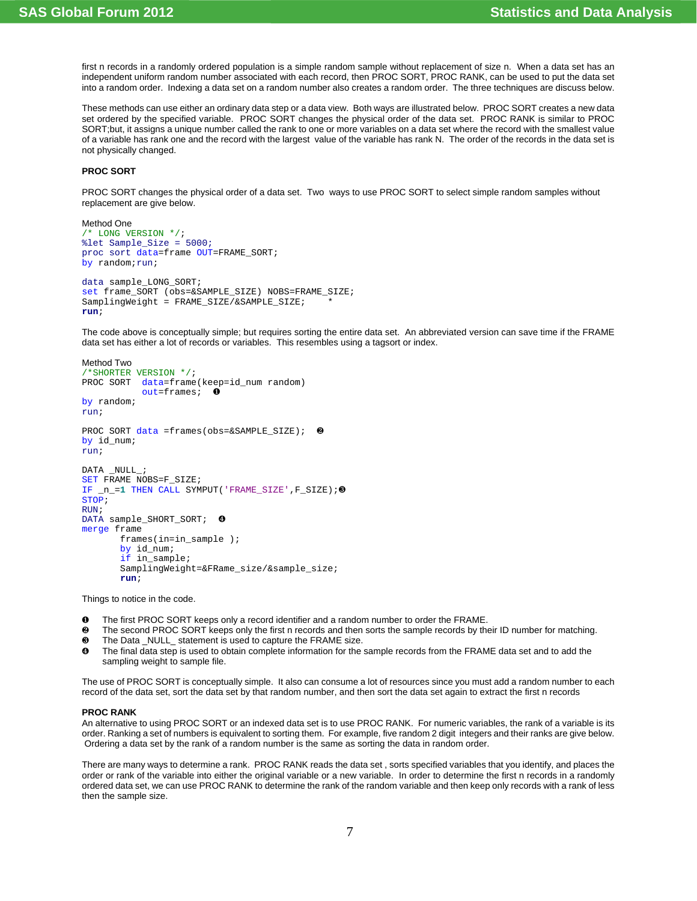first n records in a randomly ordered population is a simple random sample without replacement of size n. When a data set has an independent uniform random number associated with each record, then PROC SORT, PROC RANK, can be used to put the data set into a random order. Indexing a data set on a random number also creates a random order. The three techniques are discuss below.

These methods can use either an ordinary data step or a data view. Both ways are illustrated below. PROC SORT creates a new data set ordered by the specified variable. PROC SORT changes the physical order of the data set. PROC RANK is similar to PROC SORT;but, it assigns a unique number called the rank to one or more variables on a data set where the record with the smallest value of a variable has rank one and the record with the largest value of the variable has rank N. The order of the records in the data set is not physically changed.

### **PROC SORT**

PROC SORT changes the physical order of a data set. Two ways to use PROC SORT to select simple random samples without replacement are give below.

```
Method One
 /* LONG VERSION */;
%let Sample_Size = 5000;
proc sort data=frame OUT=FRAME_SORT;
by random; run;
data sample_LONG_SORT;
set frame_SORT (obs=&SAMPLE_SIZE) NOBS=FRAME_SIZE;
SamplingWeight = FRAME_SIZE/&SAMPLE_SIZE;
run;
```
The code above is conceptually simple; but requires sorting the entire data set. An abbreviated version can save time if the FRAME data set has either a lot of records or variables. This resembles using a tagsort or index.

```
Method Two
/*SHORTER VERSION */;
PROC SORT data=frame(keep=id_num random)
             out=frames; Ø
by random; 
run;
PROC SORT data =frames(obs=&SAMPLE_SIZE); Ù
by id num;
run;
DATA _NULL_;
SET FRAME NOBS=F_SIZE;
IF _n=1 THEN CALL SYMPUT('FRAME_SIZE', F_SIZE);<sup>0</sup>
STOP;
RUN;
DATA sample_SHORT_SORT; <sup>0</sup>
merge frame
        frames(in=in_sample );
        by id_num;
         if in_sample;
        SamplingWeight=&FRame_size/&sample_size;
        run;
```
Things to notice in the code.

- **O** The first PROC SORT keeps only a record identifier and a random number to order the FRAME.<br>**@** The second PROC SORT keeps only the first p records and then sorts the sample records by the
- The second PROC SORT keeps only the first n records and then sorts the sample records by their ID number for matching.  $\odot$  The Data \_NULL\_ statement is used to capture the FRAME size.
- Û The final data step is used to obtain complete information for the sample records from the FRAME data set and to add the sampling weight to sample file.

The use of PROC SORT is conceptually simple. It also can consume a lot of resources since you must add a random number to each record of the data set, sort the data set by that random number, and then sort the data set again to extract the first n records

#### **PROC RANK**

An alternative to using PROC SORT or an indexed data set is to use PROC RANK. For numeric variables, the rank of a variable is its order. Ranking a set of numbers is equivalent to sorting them. For example, five random 2 digit integers and their ranks are give below. Ordering a data set by the rank of a random number is the same as sorting the data in random order.

There are many ways to determine a rank. PROC RANK reads the data set , sorts specified variables that you identify, and places the order or rank of the variable into either the original variable or a new variable. In order to determine the first n records in a randomly ordered data set, we can use PROC RANK to determine the rank of the random variable and then keep only records with a rank of less then the sample size.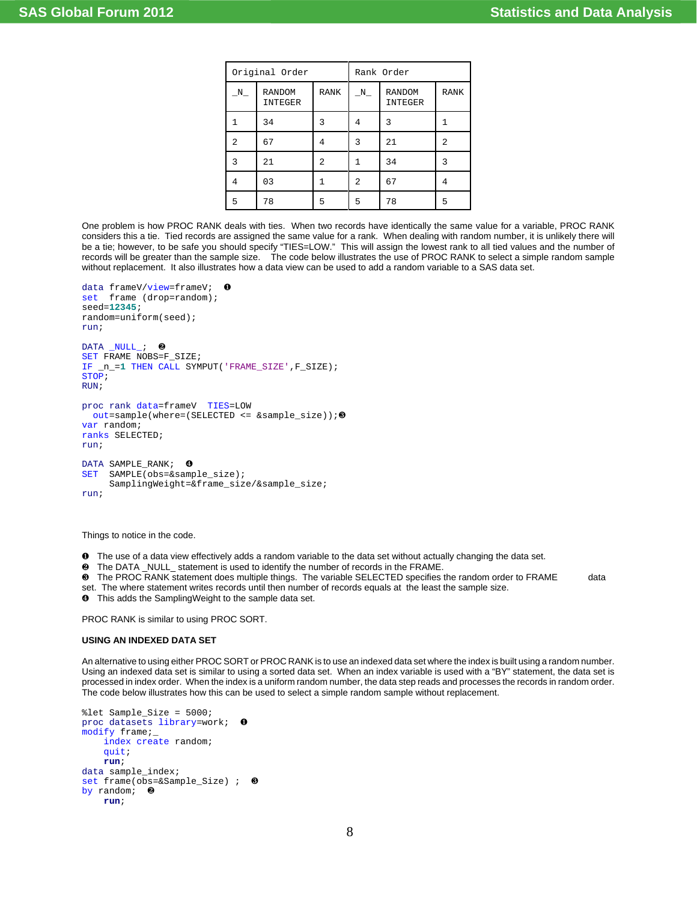| Original Order |                          | Rank Order  |   |                          |             |
|----------------|--------------------------|-------------|---|--------------------------|-------------|
| $N_{-}$        | <b>RANDOM</b><br>INTEGER | <b>RANK</b> | N | <b>RANDOM</b><br>INTEGER | <b>RANK</b> |
|                | 34                       | 3           | 4 | 3                        |             |
| 2.             | 67                       | 4           | 3 | 21                       | 2           |
| 3              | 21                       | 2           |   | 34                       | 3           |
| 4              | 03                       |             | 2 | 67                       | 4           |
| 5              | 78                       | 5           | 5 | 78                       | 5           |

One problem is how PROC RANK deals with ties. When two records have identically the same value for a variable, PROC RANK considers this a tie. Tied records are assigned the same value for a rank. When dealing with random number, it is unlikely there will be a tie; however, to be safe you should specify "TIES=LOW." This will assign the lowest rank to all tied values and the number of records will be greater than the sample size. The code below illustrates the use of PROC RANK to select a simple random sample without replacement. It also illustrates how a data view can be used to add a random variable to a SAS data set.

```
data frameV/view=frameV;
set frame (drop=random);
seed=12345;
random=uniform(seed); 
run; 
DATA NULL ; <sup>0</sup>
SET FRAME NOBS=F_SIZE;
IF _n_=1 THEN CALL SYMPUT('FRAME_SIZE',F_SIZE);
STOP;
RIIN;
proc rank data=frameV TIES=LOW
 out=sample(where=(SELECTED <= &samplesize));<sup>0</sup>
var random;
ranks SELECTED;
run;
DATA SAMPLE_RANK; 0
SET SAMPLE(obs=&sample_size);
      SamplingWeight=&frame_size/&sample_size;
run;
```
Things to notice in the code.

- Ø The use of a data view effectively adds a random variable to the data set without actually changing the data set.
- Ù The DATA \_NULL\_ statement is used to identify the number of records in the FRAME.
- Ú The PROC RANK statement does multiple things. The variable SELECTED specifies the random order to FRAME data
- set. The where statement writes records until then number of records equals at the least the sample size.
- Û This adds the SamplingWeight to the sample data set.

PROC RANK is similar to using PROC SORT.

#### **USING AN INDEXED DATA SET**

An alternative to using either PROC SORT or PROC RANK is to use an indexed data set where the index is built using a random number. Using an indexed data set is similar to using a sorted data set. When an index variable is used with a "BY" statement, the data set is processed in index order. When the index is a uniform random number, the data step reads and processes the records in random order. The code below illustrates how this can be used to select a simple random sample without replacement.

```
%let Sample_Size = 5000;
proc datasets library=work; Ø
modify frame;_
     index create random;
     quit;
     run;
data sample_index;
set frame(obs=&Sample_Size) ; \Thetaby random; \Theta run;
```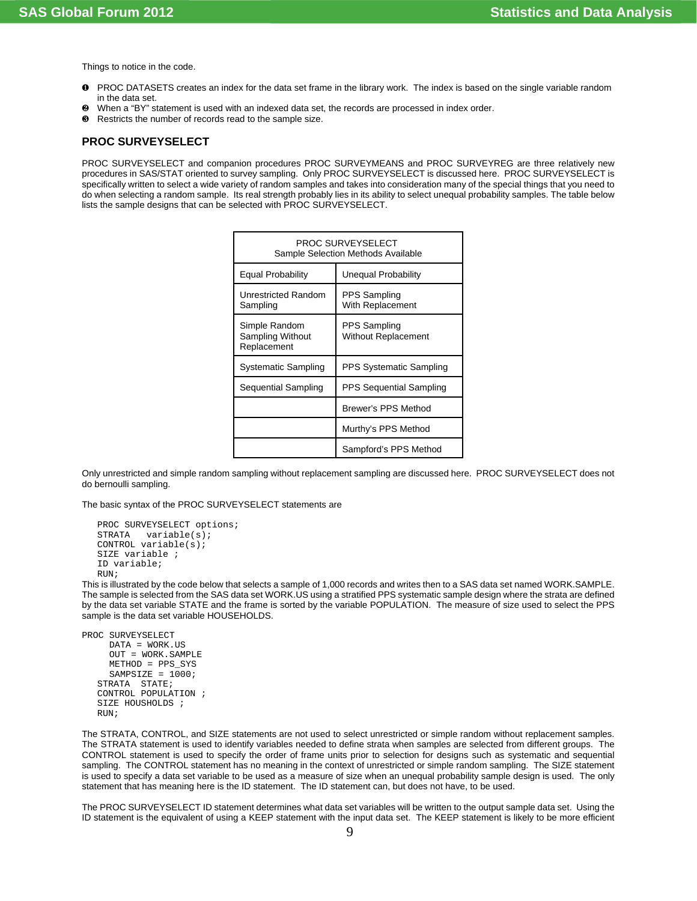Things to notice in the code.

- Ø PROC DATASETS creates an index for the data set frame in the library work. The index is based on the single variable random in the data set.
- Ù When a "BY" statement is used with an indexed data set, the records are processed in index order.
- $\Theta$  Restricts the number of records read to the sample size.

# **PROC SURVEYSELECT**

PROC SURVEYSELECT and companion procedures PROC SURVEYMEANS and PROC SURVEYREG are three relatively new procedures in SAS/STAT oriented to survey sampling. Only PROC SURVEYSELECT is discussed here. PROC SURVEYSELECT is specifically written to select a wide variety of random samples and takes into consideration many of the special things that you need to do when selecting a random sample. Its real strength probably lies in its ability to select unequal probability samples. The table below lists the sample designs that can be selected with PROC SURVEYSELECT.

| PROC SURVEYSELECT<br>Sample Selection Methods Available |                                            |  |  |
|---------------------------------------------------------|--------------------------------------------|--|--|
| Equal Probability<br>Unequal Probability                |                                            |  |  |
| <b>Unrestricted Random</b><br>Sampling                  | PPS Sampling<br>With Replacement           |  |  |
| Simple Random<br>Sampling Without<br>Replacement        | PPS Sampling<br><b>Without Replacement</b> |  |  |
| Systematic Sampling                                     | PPS Systematic Sampling                    |  |  |
| Sequential Sampling                                     | PPS Sequential Sampling                    |  |  |
|                                                         | Brewer's PPS Method                        |  |  |
|                                                         | Murthy's PPS Method                        |  |  |
| Sampford's PPS Method                                   |                                            |  |  |

Only unrestricted and simple random sampling without replacement sampling are discussed here. PROC SURVEYSELECT does not do bernoulli sampling.

The basic syntax of the PROC SURVEYSELECT statements are

```
PROC SURVEYSELECT options;
STRATA variable(s);
CONTROL variable(s);
SIZE variable ;
ID variable;
RIIN;
```
This is illustrated by the code below that selects a sample of 1,000 records and writes then to a SAS data set named WORK.SAMPLE. The sample is selected from the SAS data set WORK.US using a stratified PPS systematic sample design where the strata are defined by the data set variable STATE and the frame is sorted by the variable POPULATION. The measure of size used to select the PPS sample is the data set variable HOUSEHOLDS.

```
PROC SURVEYSELECT
      DATA = WORK.US 
      OUT = WORK.SAMPLE
      METHOD = PPS_SYS
     SAMPSIZE = 1000;STRATA STATE;
  CONTROL POPULATION ;
  SIZE HOUSHOLDS ;
  RIIN;
```
The STRATA, CONTROL, and SIZE statements are not used to select unrestricted or simple random without replacement samples. The STRATA statement is used to identify variables needed to define strata when samples are selected from different groups. The CONTROL statement is used to specify the order of frame units prior to selection for designs such as systematic and sequential sampling. The CONTROL statement has no meaning in the context of unrestricted or simple random sampling. The SIZE statement is used to specify a data set variable to be used as a measure of size when an unequal probability sample design is used. The only statement that has meaning here is the ID statement. The ID statement can, but does not have, to be used.

The PROC SURVEYSELECT ID statement determines what data set variables will be written to the output sample data set. Using the ID statement is the equivalent of using a KEEP statement with the input data set. The KEEP statement is likely to be more efficient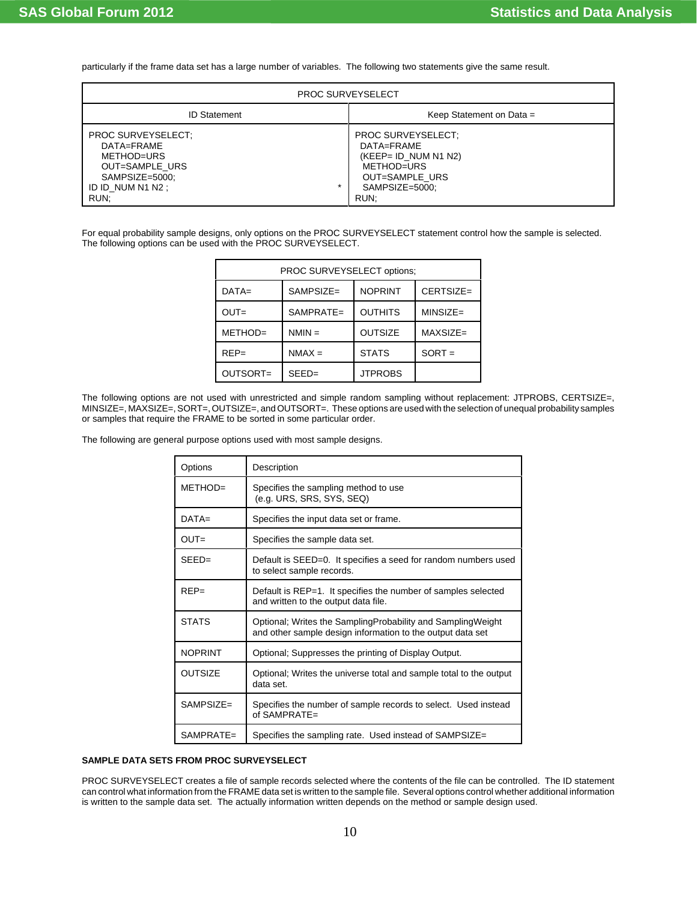particularly if the frame data set has a large number of variables. The following two statements give the same result.

| <b>PROC SURVEYSELECT</b>                                                                                                   |                                                                                                                              |  |  |
|----------------------------------------------------------------------------------------------------------------------------|------------------------------------------------------------------------------------------------------------------------------|--|--|
| <b>ID Statement</b>                                                                                                        | Keep Statement on Data =                                                                                                     |  |  |
| PROC SURVEYSELECT:<br>DATA=FRAME<br>METHOD=URS<br>OUT=SAMPLE URS<br>SAMPSIZE=5000;<br>$\star$<br>ID ID NUM N1 N2 ;<br>RUN; | <b>PROC SURVEYSELECT:</b><br>DATA=FRAME<br>$(KEEP = ID$ NUM N1 N2)<br>METHOD=URS<br>OUT=SAMPLE URS<br>SAMPSIZE=5000;<br>RUN; |  |  |

For equal probability sample designs, only options on the PROC SURVEYSELECT statement control how the sample is selected. The following options can be used with the PROC SURVEYSELECT.

| PROC SURVEYSELECT options: |                                             |                |             |  |  |
|----------------------------|---------------------------------------------|----------------|-------------|--|--|
| $DATA=$                    | <b>NOPRINT</b><br>$SAMPSIZE =$<br>CERTSIZE= |                |             |  |  |
| $OUT =$                    | $SAMPRATE =$                                | <b>OUTHITS</b> | $MINSIZE =$ |  |  |
| METHOD=                    | $NMIN =$                                    | <b>OUTSIZE</b> | $MAXSIZE=$  |  |  |
| $REP=$                     | $NMAX =$                                    | <b>STATS</b>   | $SORT =$    |  |  |
| OUTSORT=                   | $SEED=$                                     | <b>JTPROBS</b> |             |  |  |

The following options are not used with unrestricted and simple random sampling without replacement: JTPROBS, CERTSIZE=, MINSIZE=, MAXSIZE=, SORT=, OUTSIZE=, and OUTSORT=. These options are used with the selection of unequal probability samples or samples that require the FRAME to be sorted in some particular order.

The following are general purpose options used with most sample designs.

| Options        | Description                                                                                                               |
|----------------|---------------------------------------------------------------------------------------------------------------------------|
| METHOD=        | Specifies the sampling method to use<br>(e.g. URS, SRS, SYS, SEQ)                                                         |
| $DATA=$        | Specifies the input data set or frame.                                                                                    |
| $OUT =$        | Specifies the sample data set.                                                                                            |
| $SEED =$       | Default is SEED=0. It specifies a seed for random numbers used<br>to select sample records.                               |
| $RFP=$         | Default is REP=1. It specifies the number of samples selected<br>and written to the output data file.                     |
| <b>STATS</b>   | Optional; Writes the SamplingProbability and SamplingWeight<br>and other sample design information to the output data set |
| <b>NOPRINT</b> | Optional; Suppresses the printing of Display Output.                                                                      |
| <b>OUTSIZE</b> | Optional; Writes the universe total and sample total to the output<br>data set.                                           |
| $SAMPSI7F =$   | Specifies the number of sample records to select. Used instead<br>of $SAMPRATE =$                                         |
| $SAMPRATE =$   | Specifies the sampling rate. Used instead of SAMPSIZE=                                                                    |

### **SAMPLE DATA SETS FROM PROC SURVEYSELECT**

PROC SURVEYSELECT creates a file of sample records selected where the contents of the file can be controlled. The ID statement can control what information from the FRAME data set is written to the sample file. Several options control whether additional information is written to the sample data set. The actually information written depends on the method or sample design used.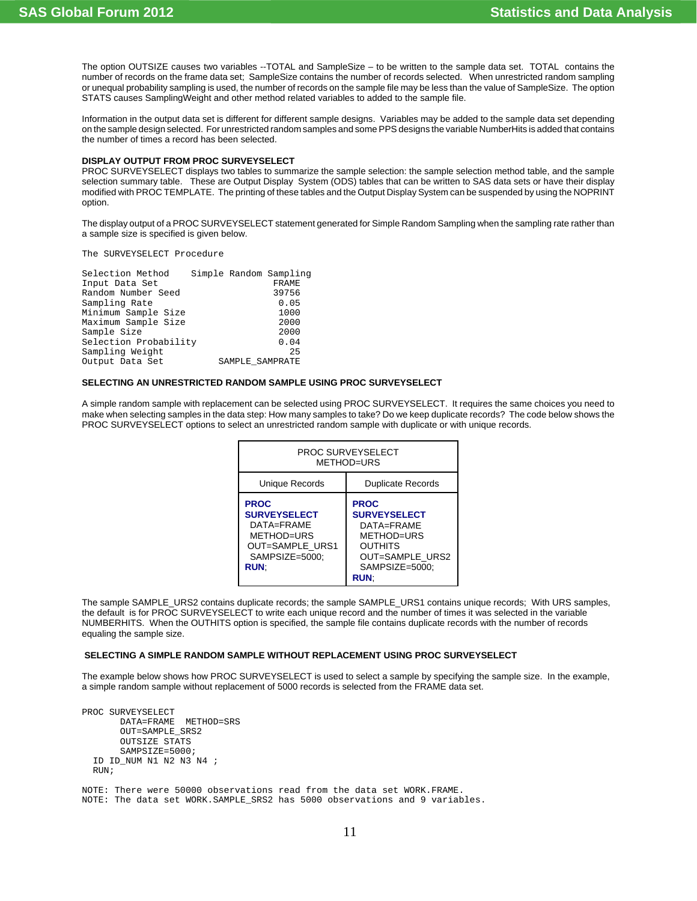The option OUTSIZE causes two variables --TOTAL and SampleSize – to be written to the sample data set. TOTAL contains the number of records on the frame data set; SampleSize contains the number of records selected. When unrestricted random sampling or unequal probability sampling is used, the number of records on the sample file may be less than the value of SampleSize. The option STATS causes SamplingWeight and other method related variables to added to the sample file.

Information in the output data set is different for different sample designs. Variables may be added to the sample data set depending on the sample design selected. For unrestricted random samples and some PPS designs the variable NumberHits is added that contains the number of times a record has been selected.

#### **DISPLAY OUTPUT FROM PROC SURVEYSELECT**

PROC SURVEYSELECT displays two tables to summarize the sample selection: the sample selection method table, and the sample selection summary table. These are Output Display System (ODS) tables that can be written to SAS data sets or have their display modified with PROC TEMPLATE. The printing of these tables and the Output Display System can be suspended by using the NOPRINT option.

The display output of a PROC SURVEYSELECT statement generated for Simple Random Sampling when the sampling rate rather than a sample size is specified is given below.

The SURVEYSELECT Procedure

| Selection Method      |                 | Simple Random Sampling |
|-----------------------|-----------------|------------------------|
| Input Data Set        |                 | FRAME                  |
| Random Number Seed    |                 | 39756                  |
| Sampling Rate         |                 | 0.05                   |
| Minimum Sample Size   |                 | 1000                   |
| Maximum Sample Size   |                 | 2000                   |
| Sample Size           |                 | 2000                   |
| Selection Probability |                 | 0.04                   |
| Sampling Weight       |                 | 25                     |
| Output Data Set       | SAMPLE SAMPRATE |                        |
|                       |                 |                        |

## **SELECTING AN UNRESTRICTED RANDOM SAMPLE USING PROC SURVEYSELECT**

A simple random sample with replacement can be selected using PROC SURVEYSELECT. It requires the same choices you need to make when selecting samples in the data step: How many samples to take? Do we keep duplicate records? The code below shows the PROC SURVEYSELECT options to select an unrestricted random sample with duplicate or with unique records.

| PROC SURVEYSELECT<br>MFTHOD=URS                                                                                          |                                                                                                                                     |  |
|--------------------------------------------------------------------------------------------------------------------------|-------------------------------------------------------------------------------------------------------------------------------------|--|
| Unique Records                                                                                                           | <b>Duplicate Records</b>                                                                                                            |  |
| <b>PROC</b><br><b>SURVEYSELECT</b><br>DATA=FRAMF<br>MFTHOD=URS<br><b>OUT=SAMPLE URS1</b><br>SAMPSIZE=5000:<br><b>RUN</b> | <b>PROC</b><br><b>SURVEYSELECT</b><br>DATA=FRAMF<br>METHOD=URS<br><b>OUTHITS</b><br>OUT=SAMPLE URS2<br>SAMPSIZE=5000:<br><b>RUN</b> |  |

The sample SAMPLE\_URS2 contains duplicate records; the sample SAMPLE\_URS1 contains unique records; With URS samples, the default is for PROC SURVEYSELECT to write each unique record and the number of times it was selected in the variable NUMBERHITS. When the OUTHITS option is specified, the sample file contains duplicate records with the number of records equaling the sample size.

### **SELECTING A SIMPLE RANDOM SAMPLE WITHOUT REPLACEMENT USING PROC SURVEYSELECT**

The example below shows how PROC SURVEYSELECT is used to select a sample by specifying the sample size. In the example, a simple random sample without replacement of 5000 records is selected from the FRAME data set.

```
PROC SURVEYSELECT 
        DATA=FRAME METHOD=SRS
        OUT=SAMPLE_SRS2
        OUTSIZE STATS
        SAMPSIZE=5000;
   ID ID_NUM N1 N2 N3 N4 ;
  RUN;
NOTE: There were 50000 observations read from the data set WORK.FRAME.
NOTE: The data set WORK.SAMPLE_SRS2 has 5000 observations and 9 variables.
```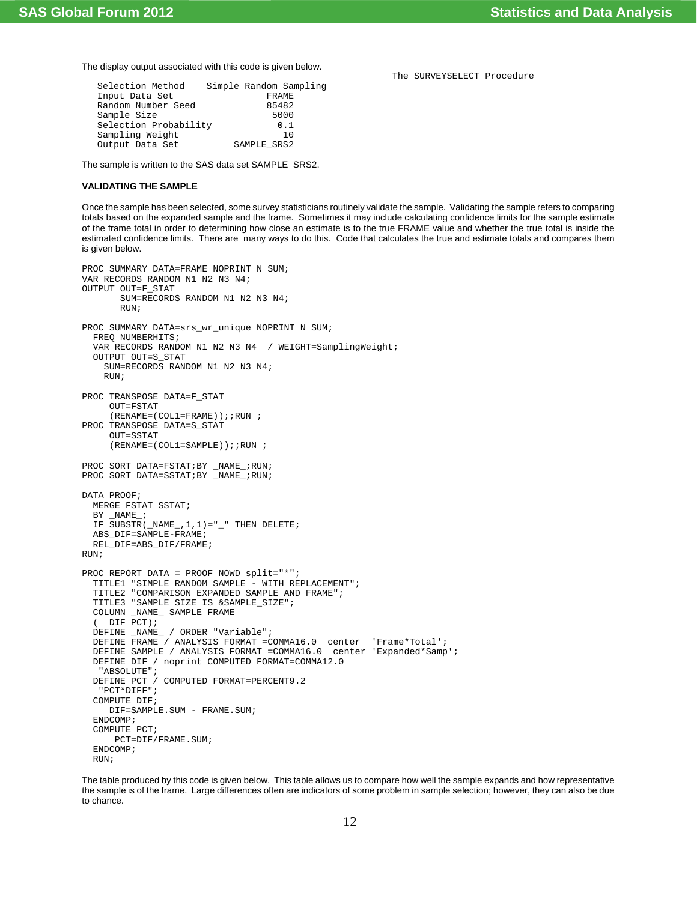The display output associated with this code is given below.

| Simple Random Sampling |
|------------------------|
| <b>FRAME</b>           |
| 85482                  |
| 5000                   |
| 0.1                    |
|                        |
| SAMPLE SRS2            |
|                        |

The sample is written to the SAS data set SAMPLE\_SRS2.

## **VALIDATING THE SAMPLE**

Once the sample has been selected, some survey statisticians routinely validate the sample. Validating the sample refers to comparing totals based on the expanded sample and the frame. Sometimes it may include calculating confidence limits for the sample estimate of the frame total in order to determining how close an estimate is to the true FRAME value and whether the true total is inside the estimated confidence limits. There are many ways to do this. Code that calculates the true and estimate totals and compares them is given below.

```
PROC SUMMARY DATA=FRAME NOPRINT N SUM;
VAR RECORDS RANDOM N1 N2 N3 N4;
OUTPUT OUT=F_STAT
        SUM=RECORDS RANDOM N1 N2 N3 N4;
        RUN;
PROC SUMMARY DATA=srs wr unique NOPRINT N SUM;
   FREQ NUMBERHITS;
   VAR RECORDS RANDOM N1 N2 N3 N4 / WEIGHT=SamplingWeight;
   OUTPUT OUT=S_STAT
     SUM=RECORDS RANDOM N1 N2 N3 N4;
     RUN;
PROC TRANSPOSE DATA=F_STAT
      OUT=FSTAT
     (RENAME = (COL1 = FRAME)); RUN;
PROC TRANSPOSE DATA=S_STAT
      OUT=SSTAT
     (RENAME = (COL1 = SAMPLE)); RUN;
PROC SORT DATA=FSTAT; BY _NAME_; RUN;
PROC SORT DATA=SSTAT; BY _NAME_; RUN;
DATA PROOF;
  MERGE FSTAT SSTAT;
  BY _NAME_;
  IF SUBSTR(NAL, 1, 1) = "_" THEN DELETE;
   ABS_DIF=SAMPLE-FRAME;
  REL_DIF=ABS_DIF/FRAME;
RIIN;
PROC REPORT DATA = PROOF NOWD split="*";
   TITLE1 "SIMPLE RANDOM SAMPLE - WITH REPLACEMENT";
   TITLE2 "COMPARISON EXPANDED SAMPLE AND FRAME";
   TITLE3 "SAMPLE SIZE IS &SAMPLE_SIZE";
   COLUMN _NAME_ SAMPLE FRAME
   ( DIF PCT);
   DEFINE _NAME_ / ORDER "Variable";
   DEFINE FRAME / ANALYSIS FORMAT =COMMA16.0 center 'Frame*Total';
   DEFINE SAMPLE / ANALYSIS FORMAT =COMMA16.0 center 'Expanded*Samp';
   DEFINE DIF / noprint COMPUTED FORMAT=COMMA12.0
    "ABSOLUTE";
   DEFINE PCT / COMPUTED FORMAT=PERCENT9.2
    "PCT*DIFF";
   COMPUTE DIF;
     DIF=SAMPLE.SUM - FRAME.SUM;
   ENDCOMP;
   COMPUTE PCT;
       PCT=DIF/FRAME.SUM;
   ENDCOMP;
   RUN;
```
The table produced by this code is given below. This table allows us to compare how well the sample expands and how representative the sample is of the frame. Large differences often are indicators of some problem in sample selection; however, they can also be due to chance.

The SURVEYSELECT Procedure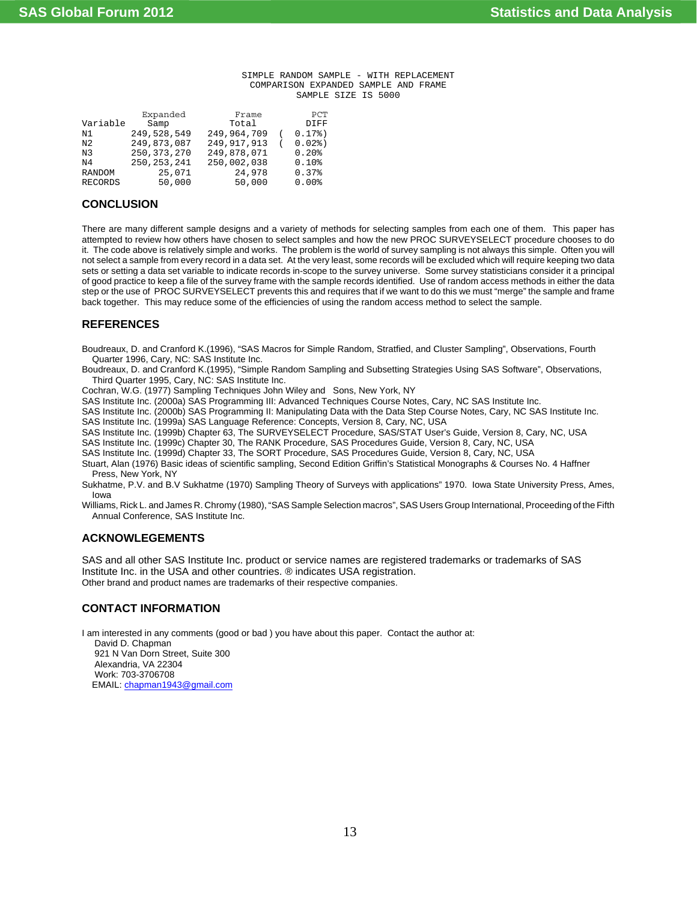#### SIMPLE RANDOM SAMPLE - WITH REPLACEMENT COMPARISON EXPANDED SAMPLE AND FRAME SAMPLE SIZE IS 5000

|                | Expanded      | Frame         | PCT       |
|----------------|---------------|---------------|-----------|
| Variable       | Samp          | Total         | DIFF      |
| N1             | 249,528,549   | 249,964,709   | $0.17$ %) |
| N2             | 249,873,087   | 249, 917, 913 | $0.02$ %) |
| N3             | 250, 373, 270 | 249,878,071   | 0.20%     |
| N4             | 250, 253, 241 | 250,002,038   | 0.10%     |
| RANDOM         | 25,071        | 24,978        | 0.37%     |
| <b>RECORDS</b> | 50,000        | 50,000        | 0.00%     |
|                |               |               |           |

## **CONCLUSION**

There are many different sample designs and a variety of methods for selecting samples from each one of them. This paper has attempted to review how others have chosen to select samples and how the new PROC SURVEYSELECT procedure chooses to do it. The code above is relatively simple and works. The problem is the world of survey sampling is not always this simple. Often you will not select a sample from every record in a data set. At the very least, some records will be excluded which will require keeping two data sets or setting a data set variable to indicate records in-scope to the survey universe. Some survey statisticians consider it a principal of good practice to keep a file of the survey frame with the sample records identified. Use of random access methods in either the data step or the use of PROC SURVEYSELECT prevents this and requires that if we want to do this we must "merge" the sample and frame back together. This may reduce some of the efficiencies of using the random access method to select the sample.

## **REFERENCES**

Boudreaux, D. and Cranford K.(1996), "SAS Macros for Simple Random, Stratfied, and Cluster Sampling", Observations, Fourth Quarter 1996, Cary, NC: SAS Institute Inc.

Boudreaux, D. and Cranford K.(1995), "Simple Random Sampling and Subsetting Strategies Using SAS Software", Observations, Third Quarter 1995, Cary, NC: SAS Institute Inc.

Cochran, W.G. (1977) Sampling Techniques John Wiley and Sons, New York, NY

SAS Institute Inc. (2000a) SAS Programming III: Advanced Techniques Course Notes, Cary, NC SAS Institute Inc.

SAS Institute Inc. (2000b) SAS Programming II: Manipulating Data with the Data Step Course Notes, Cary, NC SAS Institute Inc.

SAS Institute Inc. (1999a) SAS Language Reference: Concepts, Version 8, Cary, NC, USA

SAS Institute Inc. (1999b) Chapter 63, The SURVEYSELECT Procedure, SAS/STAT User's Guide, Version 8, Cary, NC, USA

SAS Institute Inc. (1999c) Chapter 30, The RANK Procedure, SAS Procedures Guide, Version 8, Cary, NC, USA

SAS Institute Inc. (1999d) Chapter 33, The SORT Procedure, SAS Procedures Guide, Version 8, Cary, NC, USA

Stuart, Alan (1976) Basic ideas of scientific sampling, Second Edition Griffin's Statistical Monographs & Courses No. 4 Haffner Press, New York, NY

Sukhatme, P.V. and B.V Sukhatme (1970) Sampling Theory of Surveys with applications" 1970. Iowa State University Press, Ames, Iowa

Williams, Rick L. and James R. Chromy (1980), "SAS Sample Selection macros", SAS Users Group International, Proceeding of the Fifth Annual Conference, SAS Institute Inc.

## **ACKNOWLEGEMENTS**

SAS and all other SAS Institute Inc. product or service names are registered trademarks or trademarks of SAS Institute Inc. in the USA and other countries. ® indicates USA registration. Other brand and product names are trademarks of their respective companies.

## **CONTACT INFORMATION**

I am interested in any comments (good or bad ) you have about this paper. Contact the author at:

 David D. Chapman 921 N Van Dorn Street, Suite 300 Alexandria, VA 22304 Work: 703-3706708 EMAIL: chapman1943@gmail.com